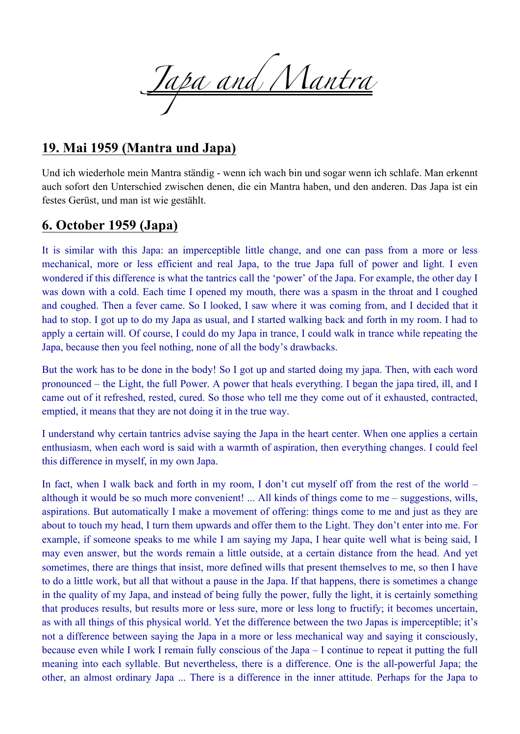*Japa and Mantra*

#### **19. Mai 1959 (Mantra und Japa)**

Und ich wiederhole mein Mantra ständig - wenn ich wach bin und sogar wenn ich schlafe. Man erkennt auch sofort den Unterschied zwischen denen, die ein Mantra haben, und den anderen. Das Japa ist ein festes Gerüst, und man ist wie gestählt.

#### **6. October 1959 (Japa)**

It is similar with this Japa: an imperceptible little change, and one can pass from a more or less mechanical, more or less efficient and real Japa, to the true Japa full of power and light. I even wondered if this difference is what the tantrics call the 'power' of the Japa. For example, the other day I was down with a cold. Each time I opened my mouth, there was a spasm in the throat and I coughed and coughed. Then a fever came. So I looked, I saw where it was coming from, and I decided that it had to stop. I got up to do my Japa as usual, and I started walking back and forth in my room. I had to apply a certain will. Of course, I could do my Japa in trance, I could walk in trance while repeating the Japa, because then you feel nothing, none of all the body's drawbacks.

But the work has to be done in the body! So I got up and started doing my japa. Then, with each word pronounced – the Light, the full Power. A power that heals everything. I began the japa tired, ill, and I came out of it refreshed, rested, cured. So those who tell me they come out of it exhausted, contracted, emptied, it means that they are not doing it in the true way.

I understand why certain tantrics advise saying the Japa in the heart center. When one applies a certain enthusiasm, when each word is said with a warmth of aspiration, then everything changes. I could feel this difference in myself, in my own Japa.

In fact, when I walk back and forth in my room, I don't cut myself off from the rest of the world – although it would be so much more convenient! ... All kinds of things come to me – suggestions, wills, aspirations. But automatically I make a movement of offering: things come to me and just as they are about to touch my head, I turn them upwards and offer them to the Light. They don't enter into me. For example, if someone speaks to me while I am saying my Japa, I hear quite well what is being said, I may even answer, but the words remain a little outside, at a certain distance from the head. And yet sometimes, there are things that insist, more defined wills that present themselves to me, so then I have to do a little work, but all that without a pause in the Japa. If that happens, there is sometimes a change in the quality of my Japa, and instead of being fully the power, fully the light, it is certainly something that produces results, but results more or less sure, more or less long to fructify; it becomes uncertain, as with all things of this physical world. Yet the difference between the two Japas is imperceptible; it's not a difference between saying the Japa in a more or less mechanical way and saying it consciously, because even while I work I remain fully conscious of the Japa – I continue to repeat it putting the full meaning into each syllable. But nevertheless, there is a difference. One is the all-powerful Japa; the other, an almost ordinary Japa ... There is a difference in the inner attitude. Perhaps for the Japa to